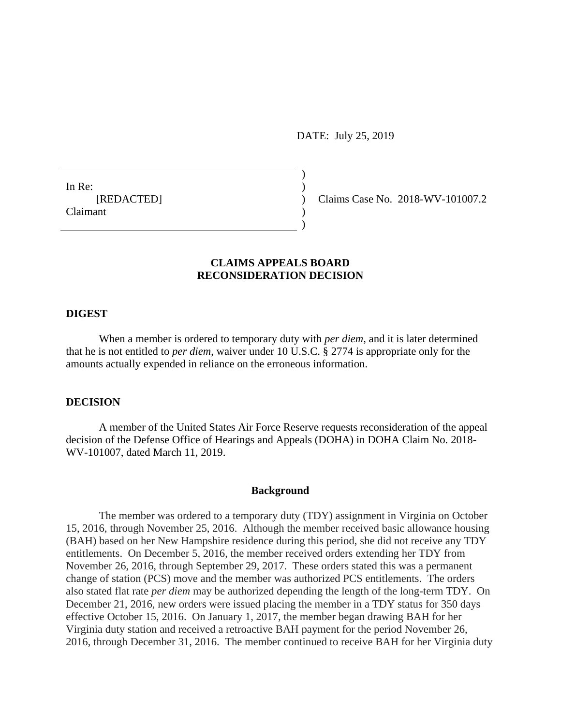DATE: July 25, 2019

In Re: [REDACTED] Claimant

Claims Case No. 2018-WV-101007.2

# **CLAIMS APPEALS BOARD RECONSIDERATION DECISION**

) )  $\lambda$ ) )

## **DIGEST**

When a member is ordered to temporary duty with *per diem*, and it is later determined that he is not entitled to *per diem*, waiver under 10 U.S.C. § 2774 is appropriate only for the amounts actually expended in reliance on the erroneous information.

#### **DECISION**

A member of the United States Air Force Reserve requests reconsideration of the appeal decision of the Defense Office of Hearings and Appeals (DOHA) in DOHA Claim No. 2018- WV-101007, dated March 11, 2019.

#### **Background**

The member was ordered to a temporary duty (TDY) assignment in Virginia on October 15, 2016, through November 25, 2016. Although the member received basic allowance housing (BAH) based on her New Hampshire residence during this period, she did not receive any TDY entitlements. On December 5, 2016, the member received orders extending her TDY from November 26, 2016, through September 29, 2017. These orders stated this was a permanent change of station (PCS) move and the member was authorized PCS entitlements. The orders also stated flat rate *per diem* may be authorized depending the length of the long-term TDY. On December 21, 2016, new orders were issued placing the member in a TDY status for 350 days effective October 15, 2016. On January 1, 2017, the member began drawing BAH for her Virginia duty station and received a retroactive BAH payment for the period November 26, 2016, through December 31, 2016. The member continued to receive BAH for her Virginia duty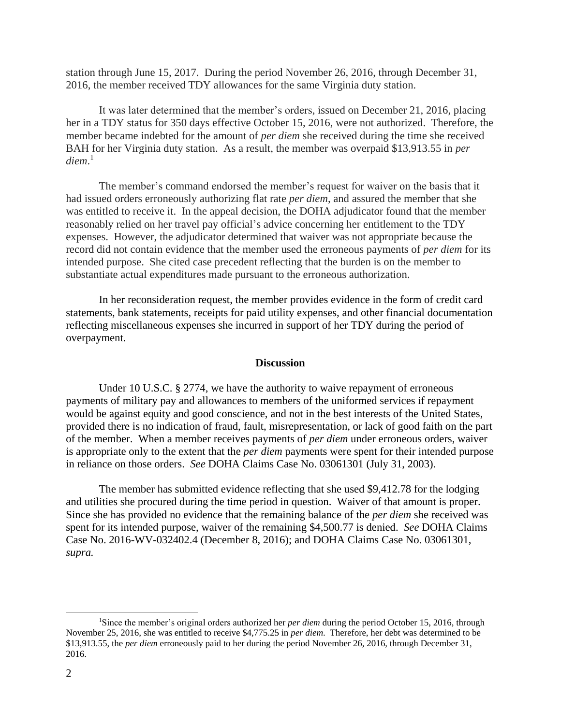station through June 15, 2017. During the period November 26, 2016, through December 31, 2016, the member received TDY allowances for the same Virginia duty station.

It was later determined that the member's orders, issued on December 21, 2016, placing her in a TDY status for 350 days effective October 15, 2016, were not authorized. Therefore, the member became indebted for the amount of *per diem* she received during the time she received BAH for her Virginia duty station. As a result, the member was overpaid \$13,913.55 in *per diem*. 1

The member's command endorsed the member's request for waiver on the basis that it had issued orders erroneously authorizing flat rate *per diem*, and assured the member that she was entitled to receive it. In the appeal decision, the DOHA adjudicator found that the member reasonably relied on her travel pay official's advice concerning her entitlement to the TDY expenses. However, the adjudicator determined that waiver was not appropriate because the record did not contain evidence that the member used the erroneous payments of *per diem* for its intended purpose. She cited case precedent reflecting that the burden is on the member to substantiate actual expenditures made pursuant to the erroneous authorization.

In her reconsideration request, the member provides evidence in the form of credit card statements, bank statements, receipts for paid utility expenses, and other financial documentation reflecting miscellaneous expenses she incurred in support of her TDY during the period of overpayment.

#### **Discussion**

Under 10 U.S.C. § 2774, we have the authority to waive repayment of erroneous payments of military pay and allowances to members of the uniformed services if repayment would be against equity and good conscience, and not in the best interests of the United States, provided there is no indication of fraud, fault, misrepresentation, or lack of good faith on the part of the member. When a member receives payments of *per diem* under erroneous orders, waiver is appropriate only to the extent that the *per diem* payments were spent for their intended purpose in reliance on those orders. *See* DOHA Claims Case No. 03061301 (July 31, 2003).

The member has submitted evidence reflecting that she used \$9,412.78 for the lodging and utilities she procured during the time period in question. Waiver of that amount is proper. Since she has provided no evidence that the remaining balance of the *per diem* she received was spent for its intended purpose, waiver of the remaining \$4,500.77 is denied. *See* DOHA Claims Case No. 2016-WV-032402.4 (December 8, 2016); and DOHA Claims Case No. 03061301, *supra.*

 $\overline{a}$ 

<sup>1</sup>Since the member's original orders authorized her *per diem* during the period October 15, 2016, through November 25, 2016, she was entitled to receive \$4,775.25 in *per diem*. Therefore, her debt was determined to be \$13,913.55, the *per diem* erroneously paid to her during the period November 26, 2016, through December 31, 2016.